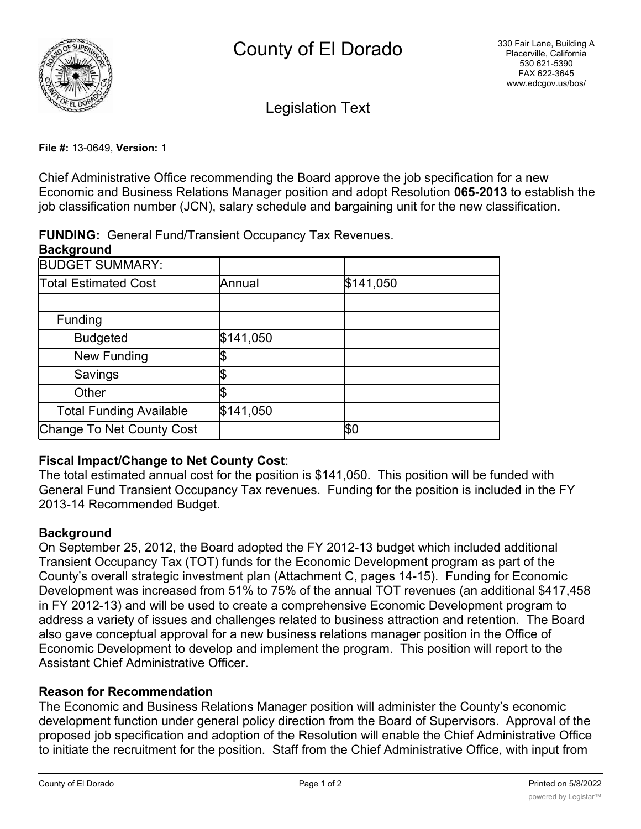

Legislation Text

**File #:** 13-0649, **Version:** 1

Chief Administrative Office recommending the Board approve the job specification for a new Economic and Business Relations Manager position and adopt Resolution **065-2013** to establish the job classification number (JCN), salary schedule and bargaining unit for the new classification.

**FUNDING:** General Fund/Transient Occupancy Tax Revenues.

#### **Background**

| <b>BUDGET SUMMARY:</b>         |           |           |
|--------------------------------|-----------|-----------|
| <b>Total Estimated Cost</b>    | Annual    | \$141,050 |
|                                |           |           |
| Funding                        |           |           |
| <b>Budgeted</b>                | \$141,050 |           |
| New Funding                    |           |           |
| Savings                        |           |           |
| Other                          |           |           |
| <b>Total Funding Available</b> | \$141,050 |           |
| Change To Net County Cost      |           | β0        |

### **Fiscal Impact/Change to Net County Cost**:

The total estimated annual cost for the position is \$141,050. This position will be funded with General Fund Transient Occupancy Tax revenues. Funding for the position is included in the FY 2013-14 Recommended Budget.

### **Background**

On September 25, 2012, the Board adopted the FY 2012-13 budget which included additional Transient Occupancy Tax (TOT) funds for the Economic Development program as part of the County's overall strategic investment plan (Attachment C, pages 14-15). Funding for Economic Development was increased from 51% to 75% of the annual TOT revenues (an additional \$417,458 in FY 2012-13) and will be used to create a comprehensive Economic Development program to address a variety of issues and challenges related to business attraction and retention. The Board also gave conceptual approval for a new business relations manager position in the Office of Economic Development to develop and implement the program. This position will report to the Assistant Chief Administrative Officer.

# **Reason for Recommendation**

The Economic and Business Relations Manager position will administer the County's economic development function under general policy direction from the Board of Supervisors. Approval of the proposed job specification and adoption of the Resolution will enable the Chief Administrative Office to initiate the recruitment for the position. Staff from the Chief Administrative Office, with input from